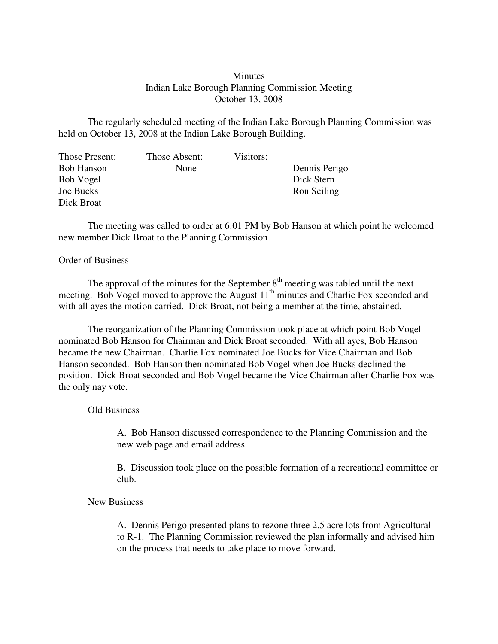## **Minutes** Indian Lake Borough Planning Commission Meeting October 13, 2008

The regularly scheduled meeting of the Indian Lake Borough Planning Commission was held on October 13, 2008 at the Indian Lake Borough Building.

| Those Present:    | Those Absent: | Visitors: |               |
|-------------------|---------------|-----------|---------------|
| <b>Bob Hanson</b> | None          |           | Dennis Perigo |
| Bob Vogel         |               |           | Dick Stern    |
| Joe Bucks         |               |           | Ron Seiling   |
| Dick Broat        |               |           |               |

The meeting was called to order at 6:01 PM by Bob Hanson at which point he welcomed new member Dick Broat to the Planning Commission.

## Order of Business

The approval of the minutes for the September  $8<sup>th</sup>$  meeting was tabled until the next meeting. Bob Vogel moved to approve the August 11<sup>th</sup> minutes and Charlie Fox seconded and with all ayes the motion carried. Dick Broat, not being a member at the time, abstained.

The reorganization of the Planning Commission took place at which point Bob Vogel nominated Bob Hanson for Chairman and Dick Broat seconded. With all ayes, Bob Hanson became the new Chairman. Charlie Fox nominated Joe Bucks for Vice Chairman and Bob Hanson seconded. Bob Hanson then nominated Bob Vogel when Joe Bucks declined the position. Dick Broat seconded and Bob Vogel became the Vice Chairman after Charlie Fox was the only nay vote.

## Old Business

A. Bob Hanson discussed correspondence to the Planning Commission and the new web page and email address.

B. Discussion took place on the possible formation of a recreational committee or club.

## New Business

A. Dennis Perigo presented plans to rezone three 2.5 acre lots from Agricultural to R-1. The Planning Commission reviewed the plan informally and advised him on the process that needs to take place to move forward.